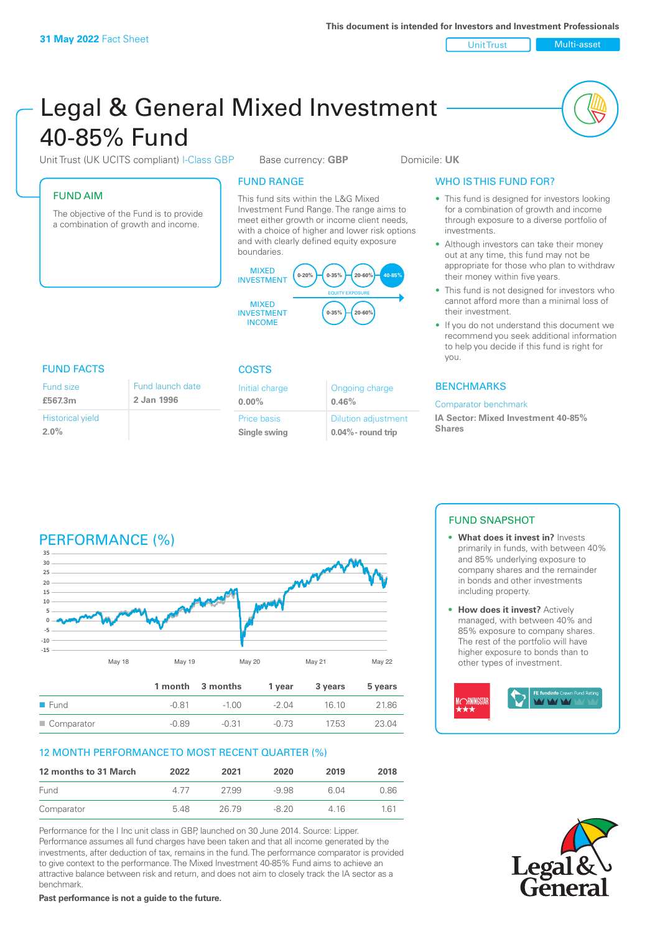Unit Trust Multi-asset

# Legal & General Mixed Investment 40‑85% Fund

Unit Trust (UK UCITS compliant) I-Class GBP Base currency: **GBP** Domicile: UK

## FUND AIM

The objective of the Fund is to provide a combination of growth and income.

## FUND RANGE

This fund sits within the L&G Mixed Investment Fund Range. The range aims to meet either growth or income client needs, with a choice of higher and lower risk options and with clearly defined equity exposure boundaries.



## FUND FACTS COSTS

| Fund size                       | Fund launch date |
|---------------------------------|------------------|
| £567.3m                         | 2 Jan 1996       |
| <b>Historical yield</b><br>2.0% |                  |

| Initial charge<br>$0.00\%$ | Ongoing charge<br>0.46%    |
|----------------------------|----------------------------|
| Price basis                | <b>Dilution adjustment</b> |
| Single swing               | $0.04\%$ - round trip      |

## WHO IS THIS FUND FOR?

- This fund is designed for investors looking for a combination of growth and income through exposure to a diverse portfolio of investments.
- Although investors can take their money out at any time, this fund may not be appropriate for those who plan to withdraw their money within five years.
- This fund is not designed for investors who cannot afford more than a minimal loss of their investment.
- If you do not understand this document we recommend you seek additional information to help you decide if this fund is right for you.

## **BENCHMARKS**

#### Comparator benchmark

**IA Sector: Mixed Investment 40‑85% Shares**

## PERFORMANCE (%)



## 12 MONTH PERFORMANCE TO MOST RECENT QUARTER (%)

| 12 months to 31 March | 2022 | 2021  | 2020  | 2019  | 2018 |
|-----------------------|------|-------|-------|-------|------|
| Fund                  | 4 77 | 2799  | -9.98 | 6.04  | 0.86 |
| Comparator            | 5.48 | 26.79 | -8.20 | 4 1 6 | 1 61 |

Performance for the I Inc unit class in GBP, launched on 30 June 2014. Source: Lipper. Performance assumes all fund charges have been taken and that all income generated by the investments, after deduction of tax, remains in the fund. The performance comparator is provided to give context to the performance. The Mixed Investment 40-85% Fund aims to achieve an attractive balance between risk and return, and does not aim to closely track the IA sector as a benchmark.

**Past performance is not a guide to the future.**

## FUND SNAPSHOT

- **• What does it invest in?** Invests primarily in funds, with between 40% and 85% underlying exposure to company shares and the remainder in bonds and other investments including property.
- **• How does it invest?** Actively managed, with between 40% and 85% exposure to company shares. The rest of the portfolio will have higher exposure to bonds than to other types of investment.



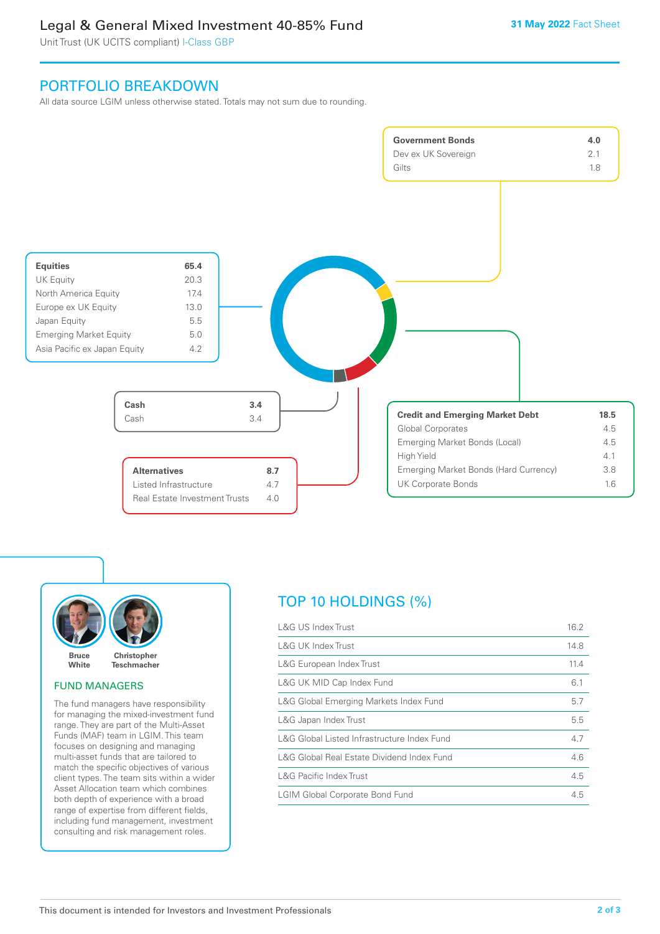## Legal & General Mixed Investment 40‑85% Fund

Unit Trust (UK UCITS compliant) I-Class GBP

## PORTFOLIO BREAKDOWN

All data source LGIM unless otherwise stated. Totals may not sum due to rounding.







## FUND MANAGERS

The fund managers have responsibility for managing the mixed-investment fund range. They are part of the Multi-Asset Funds (MAF) team in LGIM. This team focuses on designing and managing multi-asset funds that are tailored to match the specific objectives of various client types. The team sits within a wider Asset Allocation team which combines both depth of experience with a broad range of expertise from different fields, including fund management, investment consulting and risk management roles.

## TOP 10 HOLDINGS (%)

| L&G US Index Trust                          | 16.2 |
|---------------------------------------------|------|
| L&G UK Index Trust                          | 14.8 |
| L&G European Index Trust                    | 11.4 |
| L&G UK MID Cap Index Fund                   | 6.1  |
| L&G Global Emerging Markets Index Fund      | 5.7  |
| L&G Japan Index Trust                       | 5.5  |
| L&G Global Listed Infrastructure Index Fund | 4.7  |
| L&G Global Real Estate Dividend Index Fund  | 4.6  |
| L&G Pacific Index Trust                     | 4.5  |
| <b>LGIM Global Corporate Bond Fund</b>      | 4.5  |